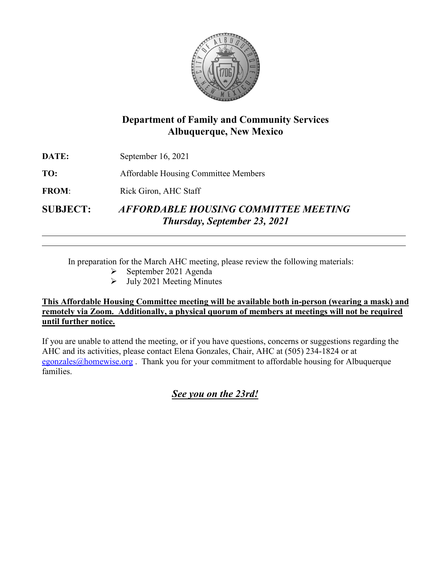

# **Department of Family and Community Services Albuquerque, New Mexico**

|                 | <b>Thursday, September 23, 2021</b>         |
|-----------------|---------------------------------------------|
| <b>SUBJECT:</b> | <b>AFFORDABLE HOUSING COMMITTEE MEETING</b> |
| <b>FROM:</b>    | Rick Giron, AHC Staff                       |
| TO:             | Affordable Housing Committee Members        |
| DATE:           | September 16, 2021                          |

In preparation for the March AHC meeting, please review the following materials:

- $\triangleright$  September 2021 Agenda
- $\triangleright$  July 2021 Meeting Minutes

## **This Affordable Housing Committee meeting will be available both in-person (wearing a mask) and remotely via Zoom. Additionally, a physical quorum of members at meetings will not be required until further notice.**

If you are unable to attend the meeting, or if you have questions, concerns or suggestions regarding the AHC and its activities, please contact Elena Gonzales, Chair, AHC at (505) 234-1824 or at [egonzales@homewise.org](mailto:egonzales@homewise.org). Thank you for your commitment to affordable housing for Albuquerque families.

*See you on the 23rd!*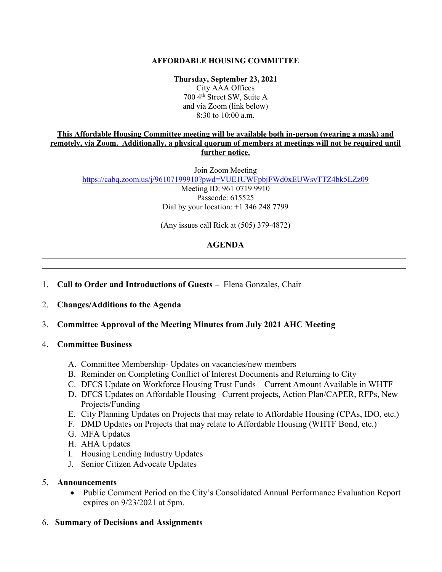## **AFFORDABLE HOUSING COMMITTEE**

**Thursday, September 23, 2021**

City AAA Offices 700 4<sup>th</sup> Street SW, Suite A and via Zoom (link below) 8:30 to 10:00 a.m.

#### **This Affordable Housing Committee meeting will be available both in-person (wearing a mask) and remotely, via Zoom. Additionally, a physical quorum of members at meetings will not be required until further notice.**

Join Zoom Meeting <https://cabq.zoom.us/j/96107199910?pwd=VUE1UWFpbjFWd0xEUWsvTTZ4bk5LZz09>

Meeting ID: 961 0719 9910 Passcode: 615525 Dial by your location: +1 346 248 7799

(Any issues call Rick at (505) 379-4872)

## **AGENDA**

## 1. **Call to Order and Introductions of Guests –** Elena Gonzales, Chair

 $\overline{a}$ 

## 2. **Changes/Additions to the Agenda**

## 3. **Committee Approval of the Meeting Minutes from July 2021 AHC Meeting**

## 4. **Committee Business**

- A. Committee Membership- Updates on vacancies/new members
- B. Reminder on Completing Conflict of Interest Documents and Returning to City
- C. DFCS Update on Workforce Housing Trust Funds Current Amount Available in WHTF
- D. DFCS Updates on Affordable Housing –Current projects, Action Plan/CAPER, RFPs, New Projects/Funding
- E. City Planning Updates on Projects that may relate to Affordable Housing (CPAs, IDO, etc.)
- F. DMD Updates on Projects that may relate to Affordable Housing (WHTF Bond, etc.)
- G. MFA Updates
- H. AHA Updates
- I. Housing Lending Industry Updates
- J. Senior Citizen Advocate Updates

## 5. **Announcements**

• Public Comment Period on the City's Consolidated Annual Performance Evaluation Report expires on 9/23/2021 at 5pm.

## 6. **Summary of Decisions and Assignments**